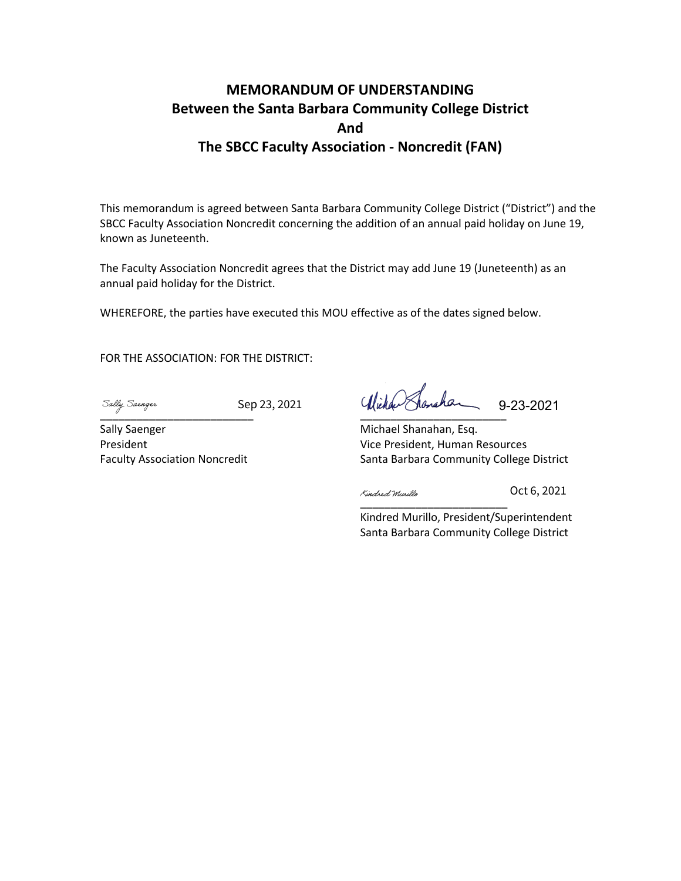## **MEMORANDUM OF UNDERSTANDING Between the Santa Barbara Community College District And The SBCC Faculty Association - Noncredit (FAN)**

This memorandum is agreed between Santa Barbara Community College District ("District") and the SBCC Faculty Association Noncredit concerning the addition of an annual paid holiday on June 19, known as Juneteenth.

The Faculty Association Noncredit agrees that the District may add June 19 (Juneteenth) as an annual paid holiday for the District.

WHEREFORE, the parties have executed this MOU effective as of the dates signed below.

FOR THE ASSOCIATION: FOR THE DISTRICT:

 $\overline{\phantom{a} a}$  ,  $\overline{\phantom{a} a}$  ,  $\overline{\phantom{a} a}$  ,  $\overline{\phantom{a} a}$  ,  $\overline{\phantom{a} a}$  ,  $\overline{\phantom{a} a}$  ,  $\overline{\phantom{a} a}$  ,  $\overline{\phantom{a} a}$  ,  $\overline{\phantom{a} a}$  ,  $\overline{\phantom{a} a}$  ,  $\overline{\phantom{a} a}$  ,  $\overline{\phantom{a} a}$  ,  $\overline{\phantom{a} a}$  ,  $\overline{\phantom{a} a}$ 

Sep 23, 2021

Sally Saenger President Faculty Association Noncredit

 $\overline{\phantom{a}}$ 9-23-2021

Michael Shanahan, Esq. Vice President, Human Resources Santa Barbara Community College District

[\\_\\_\\_\\_\\_\\_\\_\\_\\_\\_\\_\\_\\_\\_\\_\\_\\_\\_\\_\\_\\_\\_\\_](https://na2.documents.adobe.com/verifier?tx=CBJCHBCAABAANi3U_5rEImmQRZ5Axlyq-rL81VWlg6Rh)\_

Oct 6, 2021

Kindred Murillo, President/Superintendent Santa Barbara Community College District